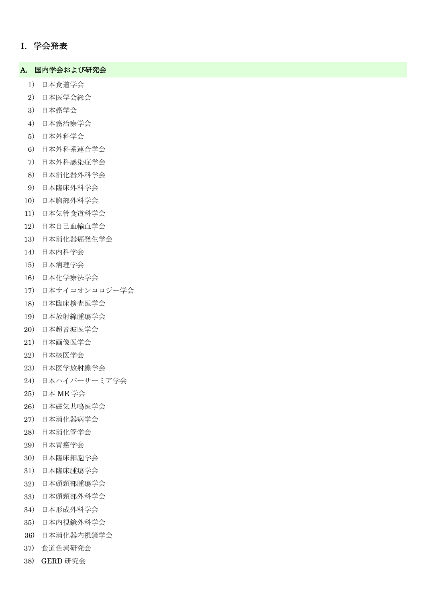## I. 学会発表

#### A. 国内学会および研究会

- ) 日本食道学会
- ) 日本医学会総会
- ) 日本癌学会
- ) 日本癌治療学会
- ) 日本外科学会
- ) 日本外科系連合学会
- ) 日本外科感染症学会
- ) 日本消化器外科学会
- ) 日本臨床外科学会
- ) 日本胸部外科学会
- ) 日本気管食道科学会
- ) 日本自己血輸血学会
- ) 日本消化器癌発生学会
- ) 日本内科学会
- ) 日本病理学会
- ) 日本化学療法学会
- ) 日本サイコオンコロジー学会
- ) 日本臨床検査医学会
- ) 日本放射線腫瘍学会
- ) 日本超音波医学会
- ) 日本画像医学会
- ) 日本核医学会
- ) 日本医学放射線学会
- ) 日本ハイパーサーミア学会
- ) 日本 ME 学会
- ) 日本磁気共鳴医学会
- ) 日本消化器病学会
- ) 日本消化管学会
- ) 日本胃癌学会
- ) 日本臨床細胞学会
- ) 日本臨床腫瘍学会
- ) 日本頭頸部腫瘍学会
- ) 日本頭頸部外科学会
- ) 日本形成外科学会
- ) 日本内視鏡外科学会
- 36) 日本消化器内視鏡学会
- 37) 食道色素研究会
- 38) GERD 研究会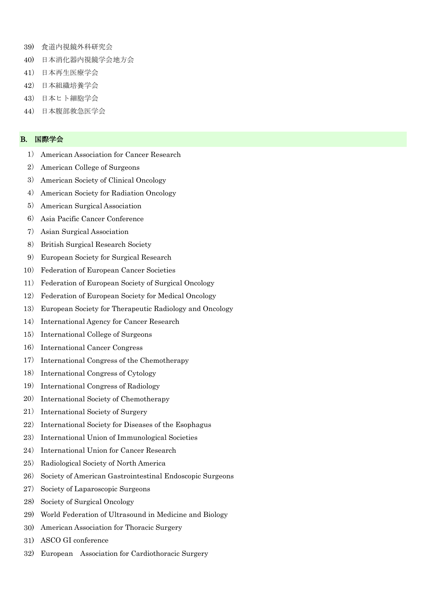- 39) 食道内視鏡外科研究会
- 40) 日本消化器内視鏡学会地方会
- 41) 日本再生医療学会
- 42) 日本組織培養学会
- 43) 日本ヒト細胞学会
- 44) 日本腹部救急医学会

### B. 国際学会

- 1) American Association for Cancer Research
- 2) American College of Surgeons
- 3) American Society of Clinical Oncology
- 4) American Society for Radiation Oncology
- 5) American Surgical Association
- 6) Asia Pacific Cancer Conference
- 7) Asian Surgical Association
- 8) British Surgical Research Society
- 9) European Society for Surgical Research
- 10) Federation of European Cancer Societies
- 11) Federation of European Society of Surgical Oncology
- 12) Federation of European Society for Medical Oncology
- 13) European Society for Therapeutic Radiology and Oncology
- 14) International Agency for Cancer Research
- 15) International College of Surgeons
- 16) International Cancer Congress
- 17) International Congress of the Chemotherapy
- 18) International Congress of Cytology
- 19) International Congress of Radiology
- 20) International Society of Chemotherapy
- 21) International Society of Surgery
- 22) International Society for Diseases of the Esophagus
- 23) International Union of Immunological Societies
- 24) International Union for Cancer Research
- 25) Radiological Society of North America
- 26) Society of American Gastrointestinal Endoscopic Surgeons
- 27) Society of Laparoscopic Surgeons
- 28) Society of Surgical Oncology
- 29) World Federation of Ultrasound in Medicine and Biology
- 30) American Association for Thoracic Surgery
- 31) ASCO GI conference
- 32) European Association for Cardiothoracic Surgery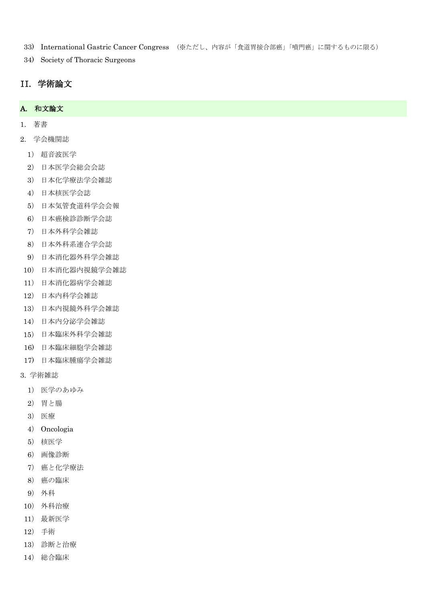- 33) International Gastric Cancer Congress (※ただし、内容が「食道胃接合部癌」「噴門癌」に関するものに限る)
- 34) Society of Thoracic Surgeons

# II. 学術論文

### A. 和文論文

- 1. 著書
- 2. 学会機関誌
	- ) 超音波医学
	- ) 日本医学会総会会誌
	- ) 日本化学療法学会雑誌
	- ) 日本核医学会誌
	- ) 日本気管食道科学会会報
	- ) 日本癌検診診断学会誌
	- ) 日本外科学会雑誌
	- ) 日本外科系連合学会誌
	- ) 日本消化器外科学会雑誌
	- ) 日本消化器内視鏡学会雑誌
	- ) 日本消化器病学会雑誌
	- ) 日本内科学会雑誌
	- ) 日本内視鏡外科学会雑誌
	- ) 日本内分泌学会雑誌
	- ) 日本臨床外科学会雑誌
	- 16) 日本臨床細胞学会雑誌
	- 17) 日本臨床腫瘍学会雑誌
- 3. 学術雑誌
	- ) 医学のあゆみ
	- ) 胃と腸
	- ) 医療
	- ) Oncologia
	- ) 核医学
	- ) 画像診断
	- ) 癌と化学療法
	- ) 癌の臨床
	- ) 外科
	- ) 外科治療
	- ) 最新医学
- ) 手術
- ) 診断と治療
- ) 総合臨床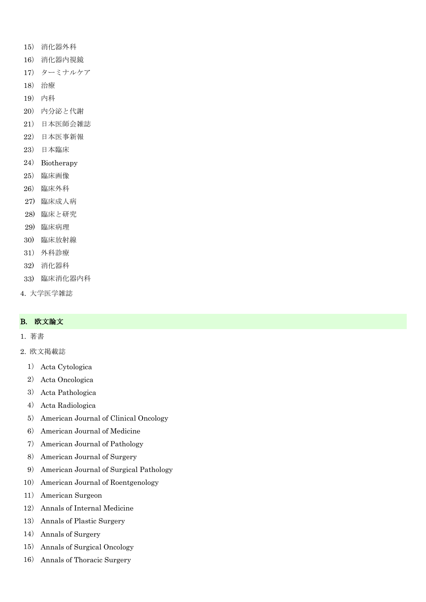- 15) 消化器外科
- 16) 消化器内視鏡
- 17) ターミナルケア
- 18) 治療
- 19) 内科
- 20) 内分泌と代謝
- 21) 日本医師会雑誌
- 22) 日本医事新報
- 23) 日本臨床
- 24) Biotherapy
- 25) 臨床画像
- 26) 臨床外科
- 27) 臨床成人病
- 28) 臨床と研究
- 29) 臨床病理
- 30) 臨床放射線
- 31) 外科診療
- 32) 消化器科
- 33) 臨床消化器内科
- 4. 大学医学雑誌

### B. 欧文論文

- 1. 著書
- 2. 欧文掲載誌
	- 1) Acta Cytologica
	- 2) Acta Oncologica
	- 3) Acta Pathologica
	- 4) Acta Radiologica
	- 5) American Journal of Clinical Oncology
	- 6) American Journal of Medicine
	- 7) American Journal of Pathology
	- 8) American Journal of Surgery
	- 9) American Journal of Surgical Pathology
- 10) American Journal of Roentgenology
- 11) American Surgeon
- 12) Annals of Internal Medicine
- 13) Annals of Plastic Surgery
- 14) Annals of Surgery
- 15) Annals of Surgical Oncology
- 16) Annals of Thoracic Surgery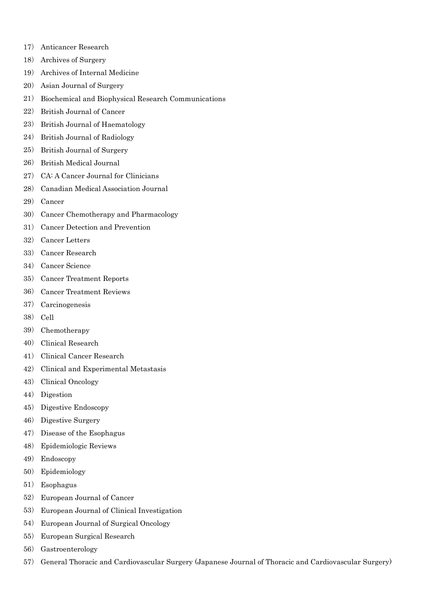- ) Anticancer Research
- ) Archives of Surgery
- ) Archives of Internal Medicine
- ) Asian Journal of Surgery
- ) Biochemical and Biophysical Research Communications
- ) British Journal of Cancer
- ) British Journal of Haematology
- ) British Journal of Radiology
- ) British Journal of Surgery
- ) British Medical Journal
- ) CA: A Cancer Journal for Clinicians
- ) Canadian Medical Association Journal
- ) Cancer
- ) Cancer Chemotherapy and Pharmacology
- ) Cancer Detection and Prevention
- ) Cancer Letters
- ) Cancer Research
- ) Cancer Science
- ) Cancer Treatment Reports
- ) Cancer Treatment Reviews
- ) Carcinogenesis
- ) Cell
- ) Chemotherapy
- ) Clinical Research
- ) Clinical Cancer Research
- ) Clinical and Experimental Metastasis
- ) Clinical Oncology
- ) Digestion
- ) Digestive Endoscopy
- ) Digestive Surgery
- ) Disease of the Esophagus
- ) Epidemiologic Reviews
- ) Endoscopy
- ) Epidemiology
- ) Esophagus
- ) European Journal of Cancer
- ) European Journal of Clinical Investigation
- ) European Journal of Surgical Oncology
- ) European Surgical Research
- ) Gastroenterology
- ) General Thoracic and Cardiovascular Surgery (Japanese Journal of Thoracic and Cardiovascular Surgery)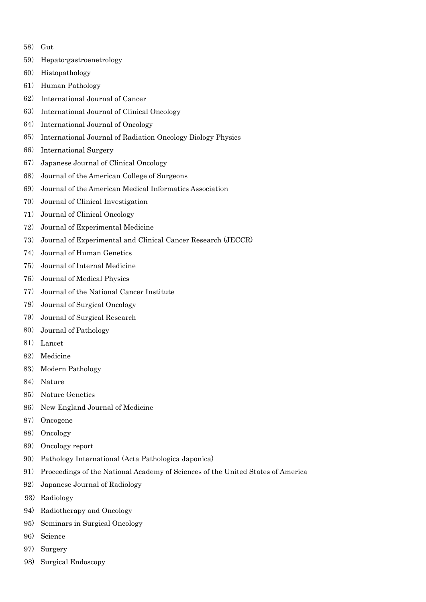- ) Gut
- ) Hepato-gastroenetrology
- ) Histopathology
- ) Human Pathology
- ) International Journal of Cancer
- ) International Journal of Clinical Oncology
- ) International Journal of Oncology
- ) International Journal of Radiation Oncology Biology Physics
- ) International Surgery
- ) Japanese Journal of Clinical Oncology
- ) Journal of the American College of Surgeons
- ) Journal of the American Medical Informatics Association
- ) Journal of Clinical Investigation
- ) Journal of Clinical Oncology
- ) Journal of Experimental Medicine
- ) Journal of Experimental and Clinical Cancer Research (JECCR)
- ) Journal of Human Genetics
- ) Journal of Internal Medicine
- ) Journal of Medical Physics
- ) Journal of the National Cancer Institute
- ) Journal of Surgical Oncology
- ) Journal of Surgical Research
- ) Journal of Pathology
- ) Lancet
- ) Medicine
- ) Modern Pathology
- ) Nature
- ) Nature Genetics
- ) New England Journal of Medicine
- ) Oncogene
- ) Oncology
- ) Oncology report
- ) Pathology International (Acta Pathologica Japonica)
- ) Proceedings of the National Academy of Sciences of the United States of America
- ) Japanese Journal of Radiology
- 93) Radiology
- 94) Radiotherapy and Oncology
- 95) Seminars in Surgical Oncology
- 96) Science
- 97) Surgery
- 98) Surgical Endoscopy